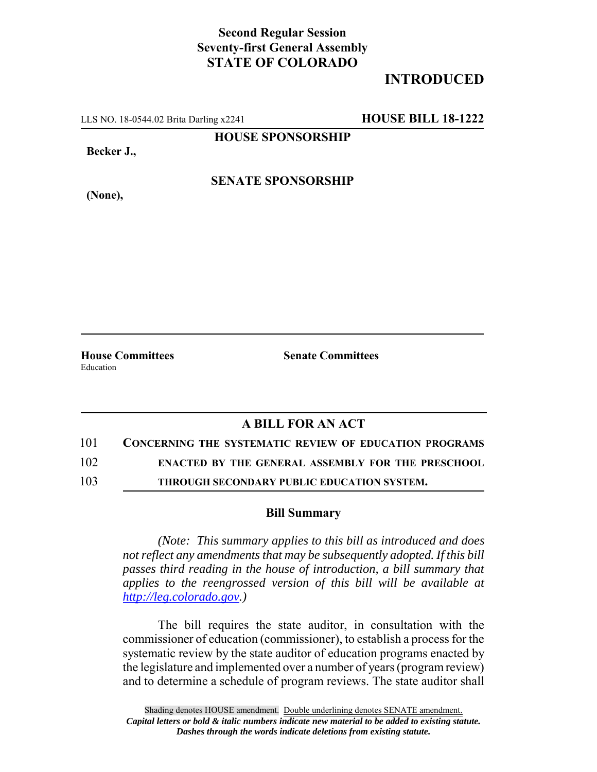## **Second Regular Session Seventy-first General Assembly STATE OF COLORADO**

## **INTRODUCED**

LLS NO. 18-0544.02 Brita Darling x2241 **HOUSE BILL 18-1222**

**HOUSE SPONSORSHIP**

**Becker J.,**

**(None),**

**SENATE SPONSORSHIP**

Education

**House Committees Senate Committees** 

## **A BILL FOR AN ACT**

101 **CONCERNING THE SYSTEMATIC REVIEW OF EDUCATION PROGRAMS**

102 **ENACTED BY THE GENERAL ASSEMBLY FOR THE PRESCHOOL**

103 **THROUGH SECONDARY PUBLIC EDUCATION SYSTEM.**

## **Bill Summary**

*(Note: This summary applies to this bill as introduced and does not reflect any amendments that may be subsequently adopted. If this bill passes third reading in the house of introduction, a bill summary that applies to the reengrossed version of this bill will be available at http://leg.colorado.gov.)*

The bill requires the state auditor, in consultation with the commissioner of education (commissioner), to establish a process for the systematic review by the state auditor of education programs enacted by the legislature and implemented over a number of years (program review) and to determine a schedule of program reviews. The state auditor shall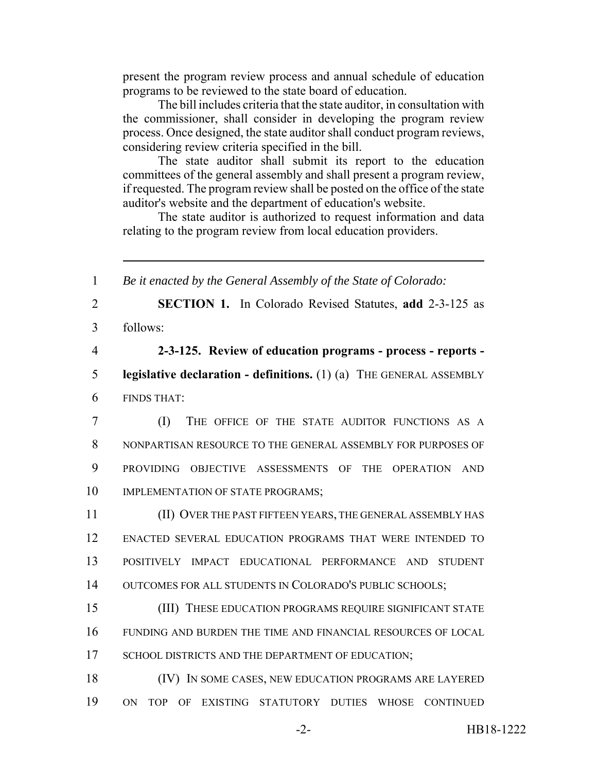present the program review process and annual schedule of education programs to be reviewed to the state board of education.

The bill includes criteria that the state auditor, in consultation with the commissioner, shall consider in developing the program review process. Once designed, the state auditor shall conduct program reviews, considering review criteria specified in the bill.

The state auditor shall submit its report to the education committees of the general assembly and shall present a program review, if requested. The program review shall be posted on the office of the state auditor's website and the department of education's website.

The state auditor is authorized to request information and data relating to the program review from local education providers.

 *Be it enacted by the General Assembly of the State of Colorado:* **SECTION 1.** In Colorado Revised Statutes, **add** 2-3-125 as 3 follows: **2-3-125. Review of education programs - process - reports - legislative declaration - definitions.** (1) (a) THE GENERAL ASSEMBLY FINDS THAT: (I) THE OFFICE OF THE STATE AUDITOR FUNCTIONS AS A NONPARTISAN RESOURCE TO THE GENERAL ASSEMBLY FOR PURPOSES OF PROVIDING OBJECTIVE ASSESSMENTS OF THE OPERATION AND 10 IMPLEMENTATION OF STATE PROGRAMS; (II) OVER THE PAST FIFTEEN YEARS, THE GENERAL ASSEMBLY HAS ENACTED SEVERAL EDUCATION PROGRAMS THAT WERE INTENDED TO POSITIVELY IMPACT EDUCATIONAL PERFORMANCE AND STUDENT 14 OUTCOMES FOR ALL STUDENTS IN COLORADO'S PUBLIC SCHOOLS; (III) THESE EDUCATION PROGRAMS REQUIRE SIGNIFICANT STATE FUNDING AND BURDEN THE TIME AND FINANCIAL RESOURCES OF LOCAL 17 SCHOOL DISTRICTS AND THE DEPARTMENT OF EDUCATION; (IV) IN SOME CASES, NEW EDUCATION PROGRAMS ARE LAYERED ON TOP OF EXISTING STATUTORY DUTIES WHOSE CONTINUED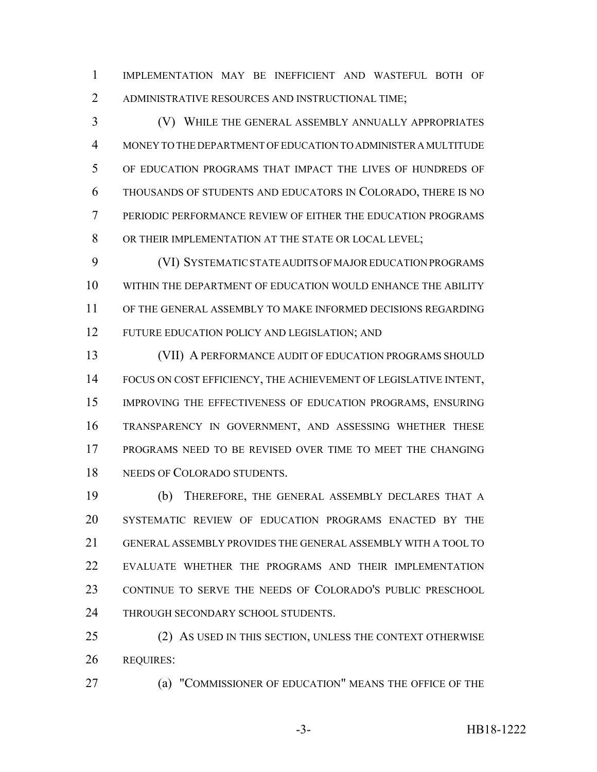IMPLEMENTATION MAY BE INEFFICIENT AND WASTEFUL BOTH OF ADMINISTRATIVE RESOURCES AND INSTRUCTIONAL TIME;

 (V) WHILE THE GENERAL ASSEMBLY ANNUALLY APPROPRIATES MONEY TO THE DEPARTMENT OF EDUCATION TO ADMINISTER A MULTITUDE OF EDUCATION PROGRAMS THAT IMPACT THE LIVES OF HUNDREDS OF THOUSANDS OF STUDENTS AND EDUCATORS IN COLORADO, THERE IS NO PERIODIC PERFORMANCE REVIEW OF EITHER THE EDUCATION PROGRAMS 8 OR THEIR IMPLEMENTATION AT THE STATE OR LOCAL LEVEL;

 (VI) SYSTEMATIC STATE AUDITS OF MAJOR EDUCATION PROGRAMS WITHIN THE DEPARTMENT OF EDUCATION WOULD ENHANCE THE ABILITY OF THE GENERAL ASSEMBLY TO MAKE INFORMED DECISIONS REGARDING FUTURE EDUCATION POLICY AND LEGISLATION; AND

13 (VII) A PERFORMANCE AUDIT OF EDUCATION PROGRAMS SHOULD FOCUS ON COST EFFICIENCY, THE ACHIEVEMENT OF LEGISLATIVE INTENT, IMPROVING THE EFFECTIVENESS OF EDUCATION PROGRAMS, ENSURING TRANSPARENCY IN GOVERNMENT, AND ASSESSING WHETHER THESE PROGRAMS NEED TO BE REVISED OVER TIME TO MEET THE CHANGING NEEDS OF COLORADO STUDENTS.

 (b) THEREFORE, THE GENERAL ASSEMBLY DECLARES THAT A SYSTEMATIC REVIEW OF EDUCATION PROGRAMS ENACTED BY THE GENERAL ASSEMBLY PROVIDES THE GENERAL ASSEMBLY WITH A TOOL TO EVALUATE WHETHER THE PROGRAMS AND THEIR IMPLEMENTATION CONTINUE TO SERVE THE NEEDS OF COLORADO'S PUBLIC PRESCHOOL 24 THROUGH SECONDARY SCHOOL STUDENTS.

 (2) AS USED IN THIS SECTION, UNLESS THE CONTEXT OTHERWISE REQUIRES:

(a) "COMMISSIONER OF EDUCATION" MEANS THE OFFICE OF THE

-3- HB18-1222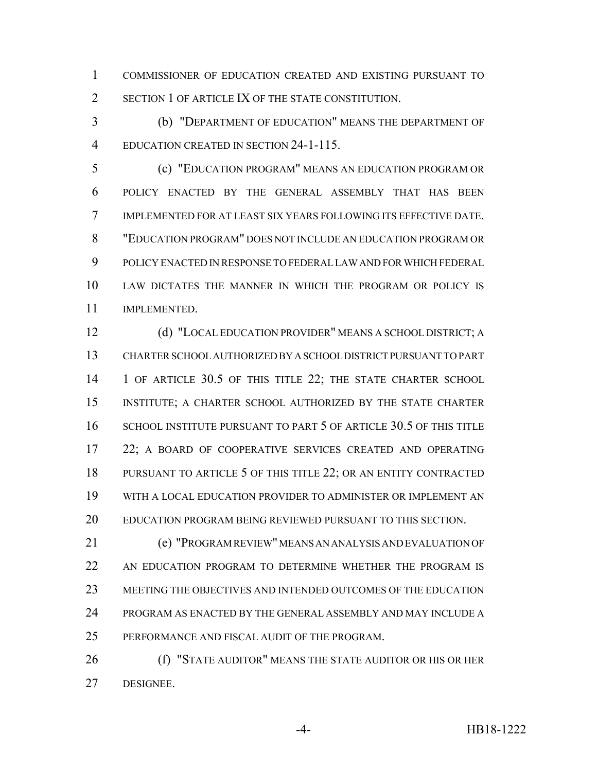COMMISSIONER OF EDUCATION CREATED AND EXISTING PURSUANT TO SECTION 1 OF ARTICLE IX OF THE STATE CONSTITUTION.

 (b) "DEPARTMENT OF EDUCATION" MEANS THE DEPARTMENT OF EDUCATION CREATED IN SECTION 24-1-115.

 (c) "EDUCATION PROGRAM" MEANS AN EDUCATION PROGRAM OR POLICY ENACTED BY THE GENERAL ASSEMBLY THAT HAS BEEN IMPLEMENTED FOR AT LEAST SIX YEARS FOLLOWING ITS EFFECTIVE DATE. "EDUCATION PROGRAM" DOES NOT INCLUDE AN EDUCATION PROGRAM OR POLICY ENACTED IN RESPONSE TO FEDERAL LAW AND FOR WHICH FEDERAL LAW DICTATES THE MANNER IN WHICH THE PROGRAM OR POLICY IS IMPLEMENTED.

 (d) "LOCAL EDUCATION PROVIDER" MEANS A SCHOOL DISTRICT; A CHARTER SCHOOL AUTHORIZED BY A SCHOOL DISTRICT PURSUANT TO PART 1 OF ARTICLE 30.5 OF THIS TITLE 22; THE STATE CHARTER SCHOOL INSTITUTE; A CHARTER SCHOOL AUTHORIZED BY THE STATE CHARTER SCHOOL INSTITUTE PURSUANT TO PART 5 OF ARTICLE 30.5 OF THIS TITLE 22; A BOARD OF COOPERATIVE SERVICES CREATED AND OPERATING 18 PURSUANT TO ARTICLE 5 OF THIS TITLE 22; OR AN ENTITY CONTRACTED WITH A LOCAL EDUCATION PROVIDER TO ADMINISTER OR IMPLEMENT AN EDUCATION PROGRAM BEING REVIEWED PURSUANT TO THIS SECTION.

 (e) "PROGRAM REVIEW" MEANS AN ANALYSIS AND EVALUATION OF AN EDUCATION PROGRAM TO DETERMINE WHETHER THE PROGRAM IS MEETING THE OBJECTIVES AND INTENDED OUTCOMES OF THE EDUCATION PROGRAM AS ENACTED BY THE GENERAL ASSEMBLY AND MAY INCLUDE A PERFORMANCE AND FISCAL AUDIT OF THE PROGRAM.

 (f) "STATE AUDITOR" MEANS THE STATE AUDITOR OR HIS OR HER DESIGNEE.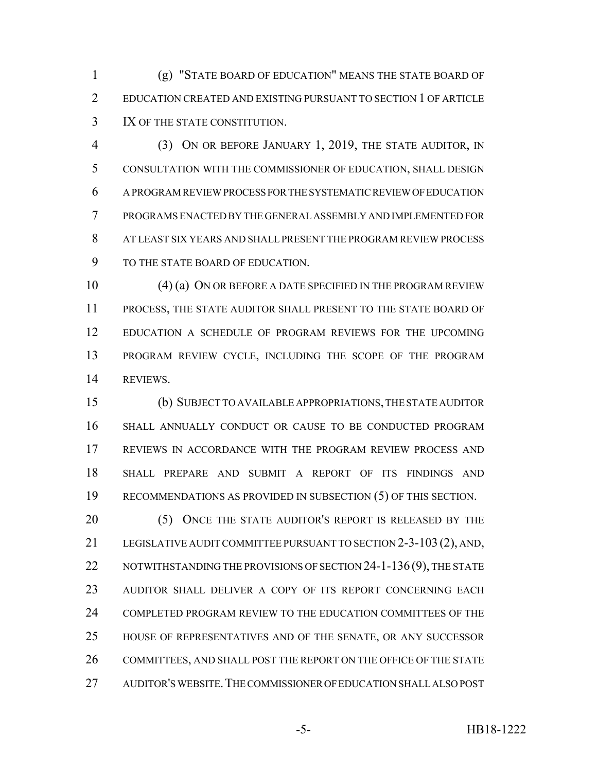(g) "STATE BOARD OF EDUCATION" MEANS THE STATE BOARD OF EDUCATION CREATED AND EXISTING PURSUANT TO SECTION 1 OF ARTICLE IX OF THE STATE CONSTITUTION.

 (3) ON OR BEFORE JANUARY 1, 2019, THE STATE AUDITOR, IN CONSULTATION WITH THE COMMISSIONER OF EDUCATION, SHALL DESIGN A PROGRAM REVIEW PROCESS FOR THE SYSTEMATIC REVIEW OF EDUCATION PROGRAMS ENACTED BY THE GENERAL ASSEMBLY AND IMPLEMENTED FOR AT LEAST SIX YEARS AND SHALL PRESENT THE PROGRAM REVIEW PROCESS TO THE STATE BOARD OF EDUCATION.

10 (4) (a) ON OR BEFORE A DATE SPECIFIED IN THE PROGRAM REVIEW PROCESS, THE STATE AUDITOR SHALL PRESENT TO THE STATE BOARD OF EDUCATION A SCHEDULE OF PROGRAM REVIEWS FOR THE UPCOMING PROGRAM REVIEW CYCLE, INCLUDING THE SCOPE OF THE PROGRAM REVIEWS.

 (b) SUBJECT TO AVAILABLE APPROPRIATIONS, THE STATE AUDITOR SHALL ANNUALLY CONDUCT OR CAUSE TO BE CONDUCTED PROGRAM REVIEWS IN ACCORDANCE WITH THE PROGRAM REVIEW PROCESS AND SHALL PREPARE AND SUBMIT A REPORT OF ITS FINDINGS AND RECOMMENDATIONS AS PROVIDED IN SUBSECTION (5) OF THIS SECTION.

20 (5) ONCE THE STATE AUDITOR'S REPORT IS RELEASED BY THE LEGISLATIVE AUDIT COMMITTEE PURSUANT TO SECTION 2-3-103 (2), AND, 22 NOTWITHSTANDING THE PROVISIONS OF SECTION 24-1-136 (9), THE STATE AUDITOR SHALL DELIVER A COPY OF ITS REPORT CONCERNING EACH COMPLETED PROGRAM REVIEW TO THE EDUCATION COMMITTEES OF THE HOUSE OF REPRESENTATIVES AND OF THE SENATE, OR ANY SUCCESSOR 26 COMMITTEES, AND SHALL POST THE REPORT ON THE OFFICE OF THE STATE AUDITOR'S WEBSITE.THE COMMISSIONER OF EDUCATION SHALL ALSO POST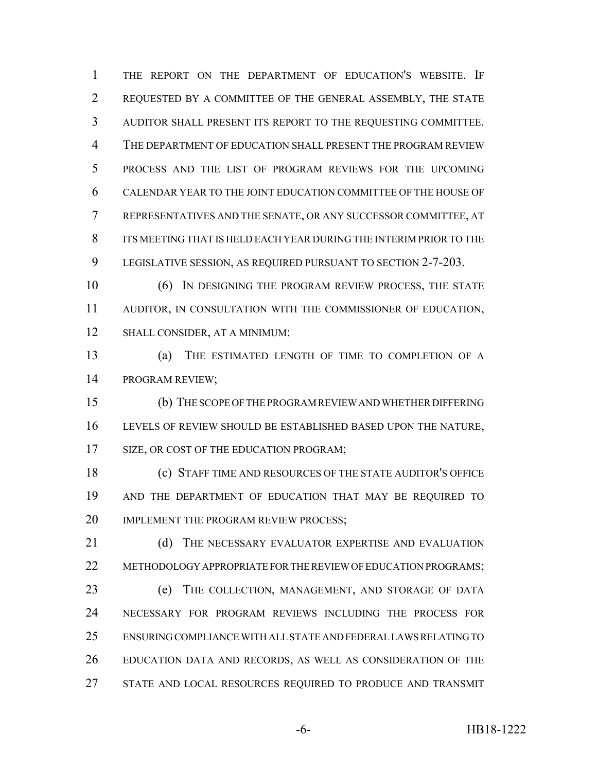THE REPORT ON THE DEPARTMENT OF EDUCATION'S WEBSITE. IF REQUESTED BY A COMMITTEE OF THE GENERAL ASSEMBLY, THE STATE AUDITOR SHALL PRESENT ITS REPORT TO THE REQUESTING COMMITTEE. THE DEPARTMENT OF EDUCATION SHALL PRESENT THE PROGRAM REVIEW PROCESS AND THE LIST OF PROGRAM REVIEWS FOR THE UPCOMING CALENDAR YEAR TO THE JOINT EDUCATION COMMITTEE OF THE HOUSE OF REPRESENTATIVES AND THE SENATE, OR ANY SUCCESSOR COMMITTEE, AT ITS MEETING THAT IS HELD EACH YEAR DURING THE INTERIM PRIOR TO THE LEGISLATIVE SESSION, AS REQUIRED PURSUANT TO SECTION 2-7-203.

 (6) IN DESIGNING THE PROGRAM REVIEW PROCESS, THE STATE AUDITOR, IN CONSULTATION WITH THE COMMISSIONER OF EDUCATION, SHALL CONSIDER, AT A MINIMUM:

 (a) THE ESTIMATED LENGTH OF TIME TO COMPLETION OF A PROGRAM REVIEW;

 (b) THE SCOPE OF THE PROGRAM REVIEW AND WHETHER DIFFERING LEVELS OF REVIEW SHOULD BE ESTABLISHED BASED UPON THE NATURE, 17 SIZE, OR COST OF THE EDUCATION PROGRAM;

 (c) STAFF TIME AND RESOURCES OF THE STATE AUDITOR'S OFFICE AND THE DEPARTMENT OF EDUCATION THAT MAY BE REQUIRED TO 20 IMPLEMENT THE PROGRAM REVIEW PROCESS;

21 (d) THE NECESSARY EVALUATOR EXPERTISE AND EVALUATION 22 METHODOLOGY APPROPRIATE FOR THE REVIEW OF EDUCATION PROGRAMS; (e) THE COLLECTION, MANAGEMENT, AND STORAGE OF DATA NECESSARY FOR PROGRAM REVIEWS INCLUDING THE PROCESS FOR ENSURING COMPLIANCE WITH ALL STATE AND FEDERAL LAWS RELATING TO EDUCATION DATA AND RECORDS, AS WELL AS CONSIDERATION OF THE 27 STATE AND LOCAL RESOURCES REQUIRED TO PRODUCE AND TRANSMIT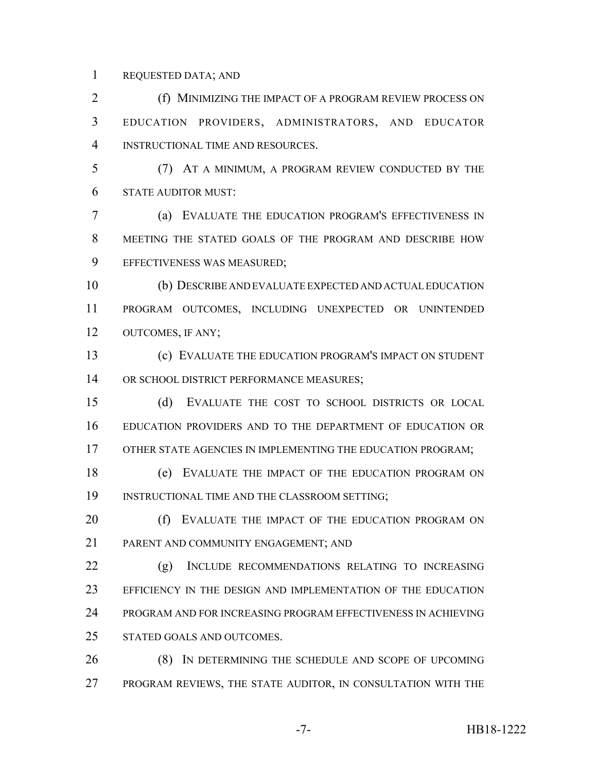REQUESTED DATA; AND

 (f) MINIMIZING THE IMPACT OF A PROGRAM REVIEW PROCESS ON EDUCATION PROVIDERS, ADMINISTRATORS, AND EDUCATOR INSTRUCTIONAL TIME AND RESOURCES.

 (7) AT A MINIMUM, A PROGRAM REVIEW CONDUCTED BY THE STATE AUDITOR MUST:

 (a) EVALUATE THE EDUCATION PROGRAM'S EFFECTIVENESS IN MEETING THE STATED GOALS OF THE PROGRAM AND DESCRIBE HOW EFFECTIVENESS WAS MEASURED;

 (b) DESCRIBE AND EVALUATE EXPECTED AND ACTUAL EDUCATION PROGRAM OUTCOMES, INCLUDING UNEXPECTED OR UNINTENDED OUTCOMES, IF ANY;

 (c) EVALUATE THE EDUCATION PROGRAM'S IMPACT ON STUDENT 14 OR SCHOOL DISTRICT PERFORMANCE MEASURES;

 (d) EVALUATE THE COST TO SCHOOL DISTRICTS OR LOCAL EDUCATION PROVIDERS AND TO THE DEPARTMENT OF EDUCATION OR OTHER STATE AGENCIES IN IMPLEMENTING THE EDUCATION PROGRAM;

 (e) EVALUATE THE IMPACT OF THE EDUCATION PROGRAM ON INSTRUCTIONAL TIME AND THE CLASSROOM SETTING;

20 (f) EVALUATE THE IMPACT OF THE EDUCATION PROGRAM ON PARENT AND COMMUNITY ENGAGEMENT; AND

 (g) INCLUDE RECOMMENDATIONS RELATING TO INCREASING EFFICIENCY IN THE DESIGN AND IMPLEMENTATION OF THE EDUCATION PROGRAM AND FOR INCREASING PROGRAM EFFECTIVENESS IN ACHIEVING STATED GOALS AND OUTCOMES.

 (8) IN DETERMINING THE SCHEDULE AND SCOPE OF UPCOMING PROGRAM REVIEWS, THE STATE AUDITOR, IN CONSULTATION WITH THE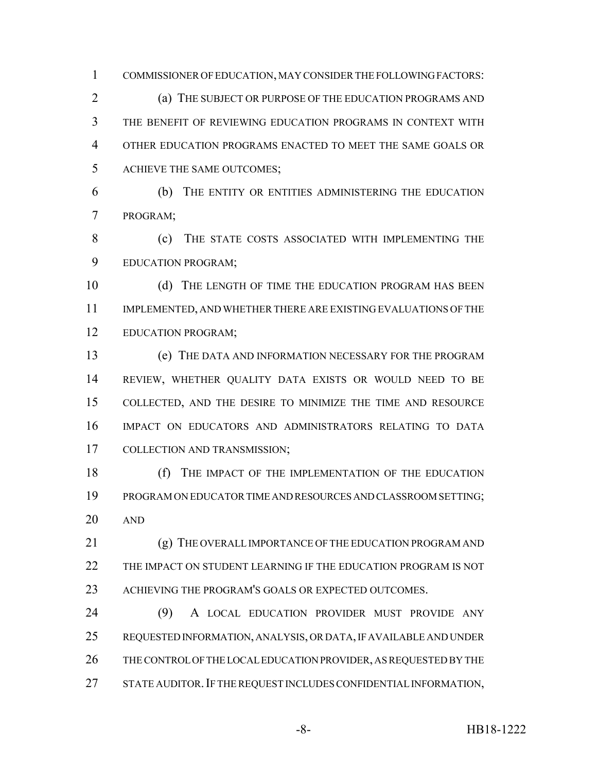COMMISSIONER OF EDUCATION, MAY CONSIDER THE FOLLOWING FACTORS: (a) THE SUBJECT OR PURPOSE OF THE EDUCATION PROGRAMS AND THE BENEFIT OF REVIEWING EDUCATION PROGRAMS IN CONTEXT WITH OTHER EDUCATION PROGRAMS ENACTED TO MEET THE SAME GOALS OR ACHIEVE THE SAME OUTCOMES;

 (b) THE ENTITY OR ENTITIES ADMINISTERING THE EDUCATION PROGRAM;

 (c) THE STATE COSTS ASSOCIATED WITH IMPLEMENTING THE EDUCATION PROGRAM;

10 (d) THE LENGTH OF TIME THE EDUCATION PROGRAM HAS BEEN IMPLEMENTED, AND WHETHER THERE ARE EXISTING EVALUATIONS OF THE EDUCATION PROGRAM;

 (e) THE DATA AND INFORMATION NECESSARY FOR THE PROGRAM REVIEW, WHETHER QUALITY DATA EXISTS OR WOULD NEED TO BE COLLECTED, AND THE DESIRE TO MINIMIZE THE TIME AND RESOURCE IMPACT ON EDUCATORS AND ADMINISTRATORS RELATING TO DATA COLLECTION AND TRANSMISSION;

 (f) THE IMPACT OF THE IMPLEMENTATION OF THE EDUCATION PROGRAM ON EDUCATOR TIME AND RESOURCES AND CLASSROOM SETTING; AND

 (g) THE OVERALL IMPORTANCE OF THE EDUCATION PROGRAM AND THE IMPACT ON STUDENT LEARNING IF THE EDUCATION PROGRAM IS NOT 23 ACHIEVING THE PROGRAM'S GOALS OR EXPECTED OUTCOMES.

 (9) A LOCAL EDUCATION PROVIDER MUST PROVIDE ANY REQUESTED INFORMATION, ANALYSIS, OR DATA, IF AVAILABLE AND UNDER THE CONTROL OF THE LOCAL EDUCATION PROVIDER, AS REQUESTED BY THE 27 STATE AUDITOR. IF THE REQUEST INCLUDES CONFIDENTIAL INFORMATION,